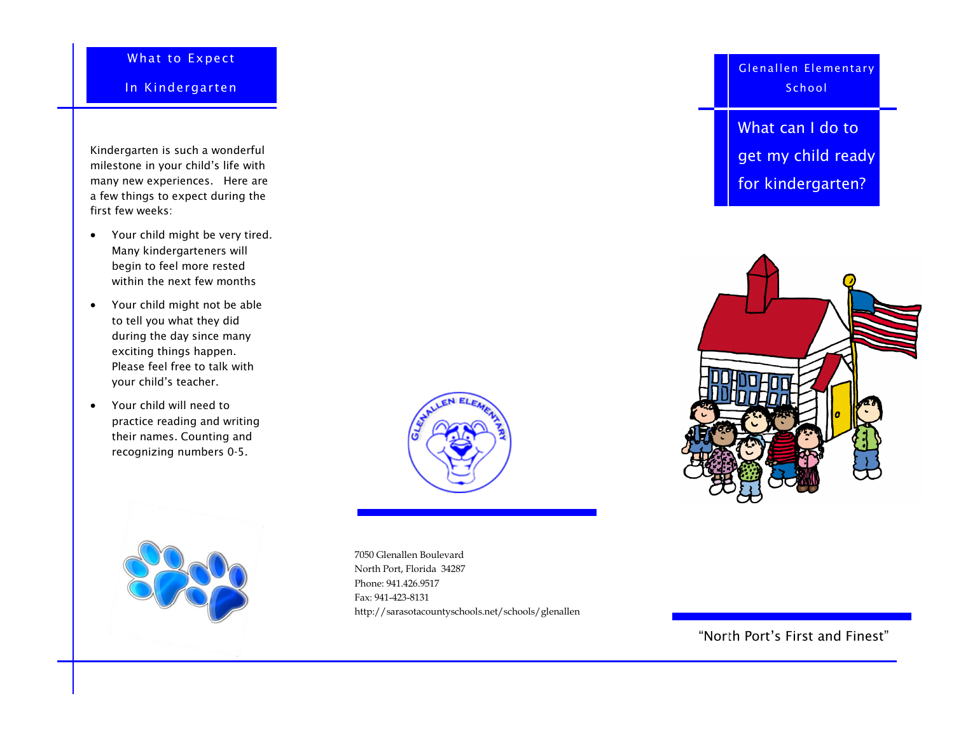## What to Expect

In Kindergarten

Kindergarten is such a wonderful milestone in your child's life with many new experiences. Here are a few things to expect during the first few weeks:

- Your child might be very tired. Many kindergarteners will begin to feel more rested within the next few months
- Your child might not be able to tell you what they did during the day since many exciting things happen. Please feel free to talk with your child's teacher.
- Your child will need to practice reading and writing their names. Counting and recognizing numbers 0-5.



7050 Glenallen Boulevard North Port, Florida 34287 Phone: 941.426.9517 Fax: 941-423-8131 http://sarasotacountyschools.net/schools/glenallen Glenallen Elementary **School** 

What can I do to get my child ready for kindergarten?



"North Port's First and Finest"